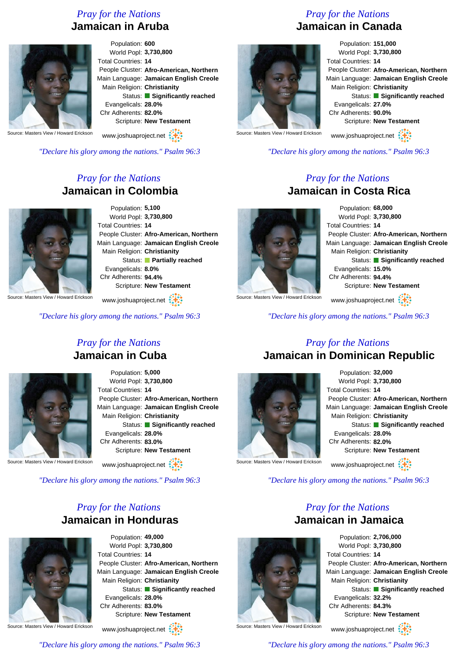# *Pray for the Nations* **Jamaican in Aruba**



Population: **600** World Popl: **3,730,800** Total Countries: **14** People Cluster: **Afro-American, Northern** Main Language: **Jamaican English Creole** Main Religion: **Christianity** Status: **Significantly reached** Evangelicals: **28.0%** Chr Adherents: **82.0%** Scripture: **New Testament**

*"Declare his glory among the nations." Psalm 96:3*

www.joshuaproject.net

#### *Pray for the Nations* **Jamaican in Colombia**



Population: **5,100** World Popl: **3,730,800** Total Countries: **14** People Cluster: **Afro-American, Northern** Main Language: **Jamaican English Creole** Main Religion: **Christianity** Status: **Partially reached** Evangelicals: **8.0%** Chr Adherents: **94.4%** Scripture: **New Testament**

www.joshuaproject.net

*"Declare his glory among the nations." Psalm 96:3*

# *Pray for the Nations* **Jamaican in Canada**



Population: **151,000** World Popl: **3,730,800** Total Countries: **14** People Cluster: **Afro-American, Northern** Main Language: **Jamaican English Creole** Main Religion: **Christianity** Status: **Significantly reached** Evangelicals: **27.0%** Chr Adherents: **90.0%** Scripture: **New Testament** www.joshuaproject.net

*"Declare his glory among the nations." Psalm 96:3*

#### *Pray for the Nations* **Jamaican in Costa Rica**

Population: **68,000** World Popl: **3,730,800** Total Countries: **14** People Cluster: **Afro-American, Northern** Main Language: **Jamaican English Creole** Main Religion: **Christianity** Status: **Significantly reached** Evangelicals: **15.0%** Chr Adherents: **94.4%** Scripture: **New Testament**

Source: Masters View / Howard Erickson

*"Declare his glory among the nations." Psalm 96:3*

www.joshuaproject.net

# *Pray for the Nations* **Jamaican in Cuba**



Population: **5,000** World Popl: **3,730,800** Total Countries: **14** People Cluster: **Afro-American, Northern** Main Language: **Jamaican English Creole** Main Religion: **Christianity** Status: **Significantly reached** Evangelicals: **28.0%** Chr Adherents: **83.0%** Scripture: **New Testament**

Source: Masters View / Howard Erickson

www.joshuaproject.net

*"Declare his glory among the nations." Psalm 96:3*

# *Pray for the Nations* **Jamaican in Honduras**



Population: **49,000** World Popl: **3,730,800** Total Countries: **14** People Cluster: **Afro-American, Northern** Main Language: **Jamaican English Creole** Main Religion: **Christianity** Status: **Significantly reached** Evangelicals: **28.0%** Chr Adherents: **83.0%** Scripture: **New Testament** www.joshuaproject.net

*"Declare his glory among the nations." Psalm 96:3*

#### *Pray for the Nations* **Jamaican in Dominican Republic**



Population: **32,000** World Popl: **3,730,800** Total Countries: **14** People Cluster: **Afro-American, Northern** Main Language: **Jamaican English Creole** Main Religion: **Christianity** Status: **Significantly reached** Evangelicals: **28.0%** Chr Adherents: **82.0%** Scripture: **New Testament** www.joshuaproject.net

*"Declare his glory among the nations." Psalm 96:3*

*Pray for the Nations* **Jamaican in Jamaica**



Population: **2,706,000** World Popl: **3,730,800** Total Countries: **14** People Cluster: **Afro-American, Northern** Main Language: **Jamaican English Creole** Main Religion: **Christianity** Status: **Significantly reached** Evangelicals: **32.2%** Chr Adherents: **84.3%** Scripture: **New Testament** www.joshuaproject.net

Source: Masters View / Howard Erickson

*"Declare his glory among the nations." Psalm 96:3*